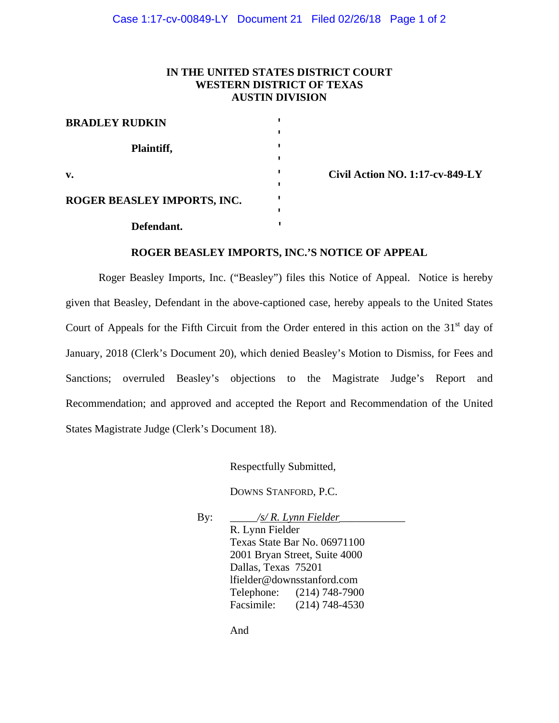### **IN THE UNITED STATES DISTRICT COURT WESTERN DISTRICT OF TEXAS AUSTIN DIVISION**

| <b>BRADLEY RUDKIN</b>       |  |
|-----------------------------|--|
| Plaintiff,                  |  |
| $\mathbf{v}$ .              |  |
| ROGER BEASLEY IMPORTS, INC. |  |
| Defendant.                  |  |

**v. ' Civil Action NO. 1:17-cv-849-LY** 

#### **ROGER BEASLEY IMPORTS, INC.'S NOTICE OF APPEAL**

Roger Beasley Imports, Inc. ("Beasley") files this Notice of Appeal. Notice is hereby given that Beasley, Defendant in the above-captioned case, hereby appeals to the United States Court of Appeals for the Fifth Circuit from the Order entered in this action on the  $31<sup>st</sup>$  day of January, 2018 (Clerk's Document 20), which denied Beasley's Motion to Dismiss, for Fees and Sanctions; overruled Beasley's objections to the Magistrate Judge's Report and Recommendation; and approved and accepted the Report and Recommendation of the United States Magistrate Judge (Clerk's Document 18).

Respectfully Submitted,

DOWNS STANFORD, P.C.

By: *\_\_\_\_\_/s/ R. Lynn Fielder\_\_\_\_\_\_\_\_\_\_\_\_* R. Lynn Fielder Texas State Bar No. 06971100 2001 Bryan Street, Suite 4000 Dallas, Texas 75201 lfielder@downsstanford.com Telephone: (214) 748-7900 Facsimile: (214) 748-4530

And